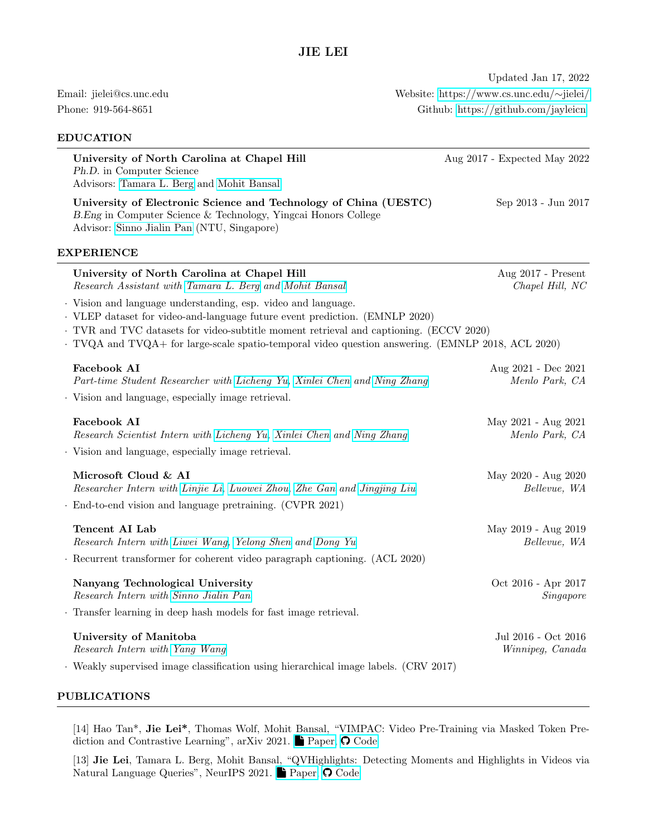## EDUCATION

Updated Jan 17, 2022 Email: jielei@cs.unc.edu Website: [https://www.cs.unc.edu/](https://www.cs.unc.edu/~jielei/)∼jielei/ Phone: 919-564-8651 Github:<https://github.com/jayleicn>

| University of North Carolina at Chapel Hill<br>Ph.D. in Computer Science<br>Advisors: Tamara L. Berg and Mohit Bansal                                                                                                                                                                                                                       | Aug 2017 - Expected May 2022            |
|---------------------------------------------------------------------------------------------------------------------------------------------------------------------------------------------------------------------------------------------------------------------------------------------------------------------------------------------|-----------------------------------------|
| University of Electronic Science and Technology of China (UESTC)<br>B.Eng in Computer Science & Technology, Yingcai Honors College<br>Advisor: Sinno Jialin Pan (NTU, Singapore)                                                                                                                                                            | Sep 2013 - Jun 2017                     |
| <b>EXPERIENCE</b>                                                                                                                                                                                                                                                                                                                           |                                         |
| University of North Carolina at Chapel Hill<br>Research Assistant with Tamara L. Berg and Mohit Bansal                                                                                                                                                                                                                                      | Aug 2017 - Present<br>Chapel Hill, NC   |
| · Vision and language understanding, esp. video and language.<br>· VLEP dataset for video-and-language future event prediction. (EMNLP 2020)<br>· TVR and TVC datasets for video-subtitle moment retrieval and captioning. (ECCV 2020)<br>· TVQA and TVQA+ for large-scale spatio-temporal video question answering. (EMNLP 2018, ACL 2020) |                                         |
| Facebook AI                                                                                                                                                                                                                                                                                                                                 | Aug 2021 - Dec 2021                     |
| Part-time Student Researcher with Licheng Yu, Xinlei Chen and Ning Zhang<br>Vision and language, especially image retrieval.                                                                                                                                                                                                                | Menlo Park, CA                          |
| <b>Facebook AI</b>                                                                                                                                                                                                                                                                                                                          | May 2021 - Aug 2021                     |
| Research Scientist Intern with Licheng Yu, Xinlei Chen and Ning Zhang<br>· Vision and language, especially image retrieval.                                                                                                                                                                                                                 | Menlo Park, CA                          |
| Microsoft Cloud & AI<br>Researcher Intern with Linjie Li, Luowei Zhou, Zhe Gan and Jingjing Liu                                                                                                                                                                                                                                             | May 2020 - Aug 2020<br>Bellevue, WA     |
| $\cdot$ End-to-end vision and language pretraining. (CVPR 2021)                                                                                                                                                                                                                                                                             |                                         |
| Tencent AI Lab<br>Research Intern with Liwei Wang, Yelong Shen and Dong Yu                                                                                                                                                                                                                                                                  | May 2019 - Aug 2019<br>Bellevue, WA     |
| Recurrent transformer for coherent video paragraph captioning. (ACL 2020)                                                                                                                                                                                                                                                                   |                                         |
| Nanyang Technological University<br>Research Intern with Sinno Jialin Pan                                                                                                                                                                                                                                                                   | Oct 2016 - Apr 2017<br>Singapore        |
| · Transfer learning in deep hash models for fast image retrieval.                                                                                                                                                                                                                                                                           |                                         |
| University of Manitoba<br>Research Intern with Yang Wang<br>· Weakly supervised image classification using hierarchical image labels. (CRV 2017)                                                                                                                                                                                            | Jul 2016 - Oct 2016<br>Winnipeg, Canada |
|                                                                                                                                                                                                                                                                                                                                             |                                         |

# PUBLICATIONS

[14] Hao Tan\*, Jie Lei\*, Thomas Wolf, Mohit Bansal, "VIMPAC: Video Pre-Training via Masked Token Prediction and Contrastive Learning", arXiv 2021. $\blacksquare$  [Paper,](http://arxiv.org/abs/2106.11250)  $\bigcirc$  [Code](https://github.com/airsplay/vimpac)

[13] Jie Lei, Tamara L. Berg, Mohit Bansal, "QVHighlights: Detecting Moments and Highlights in Videos via Natural Language Queries", NeurIPS 2021. [Paper,](https://arxiv.org/abs/2107.09609)  $\bigcirc$  [Code](https://github.com/jayleicn/moment_detr)